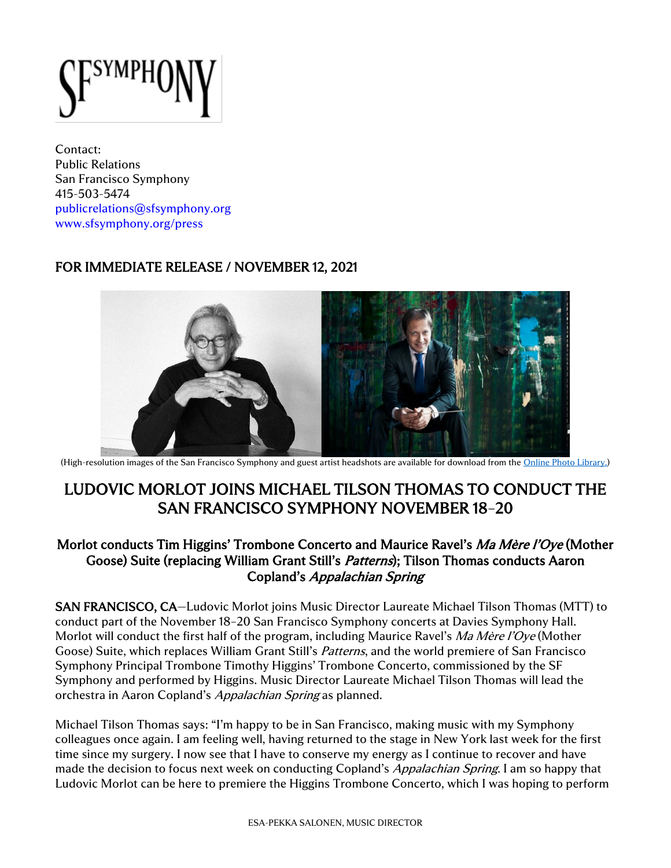

Contact: Public Relations San Francisco Symphony 415-503-5474 [publicrelations@sfsymphony.org](mailto:publicrelations@sfsymphony.org) [www.sfsymphony.org/press](http://www.sfsymphony.org/press)

## FOR IMMEDIATE RELEASE / NOVEMBER 12, 2021



(High-resolution images of the San Francisco Symphony and guest artist headshots are available for download from the [Online Photo Library.](https://www.sfsymphony.org/About-SFS/Press-Room/Photo-Library))

# LUDOVIC MORLOT JOINS MICHAEL TILSON THOMAS TO CONDUCT THE SAN FRANCISCO SYMPHONY NOVEMBER 18–20

### Morlot conducts Tim Higgins' Trombone Concerto and Maurice Ravel's *Ma Mère l'Oye* (Mother Goose) Suite (replacing William Grant Still's Patterns); Tilson Thomas conducts Aaron Copland's Appalachian Spring

SAN FRANCISCO, CA—Ludovic Morlot joins Music Director Laureate Michael Tilson Thomas (MTT) to conduct part of the November 18–20 San Francisco Symphony concerts at Davies Symphony Hall. Morlot will conduct the first half of the program, including Maurice Ravel's Ma Mère l'Oye (Mother Goose) Suite, which replaces William Grant Still's Patterns, and the world premiere of San Francisco Symphony Principal Trombone Timothy Higgins' Trombone Concerto, commissioned by the SF Symphony and performed by Higgins. Music Director Laureate Michael Tilson Thomas will lead the orchestra in Aaron Copland's Appalachian Spring as planned.

Michael Tilson Thomas says: "I'm happy to be in San Francisco, making music with my Symphony colleagues once again. I am feeling well, having returned to the stage in New York last week for the first time since my surgery. I now see that I have to conserve my energy as I continue to recover and have made the decision to focus next week on conducting Copland's *Appalachian Spring*. I am so happy that Ludovic Morlot can be here to premiere the Higgins Trombone Concerto, which I was hoping to perform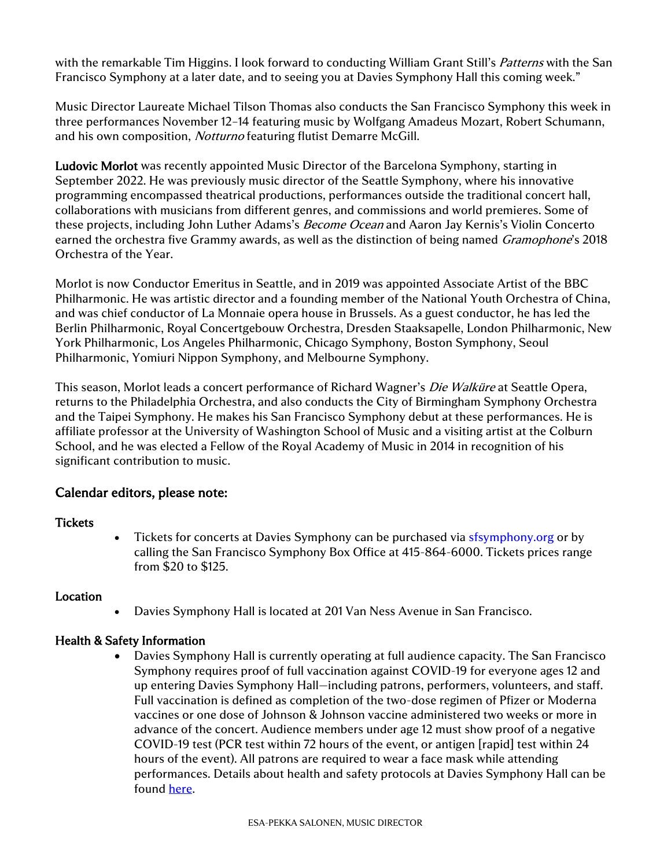with the remarkable Tim Higgins. I look forward to conducting William Grant Still's *Patterns* with the San Francisco Symphony at a later date, and to seeing you at Davies Symphony Hall this coming week."

Music Director Laureate Michael Tilson Thomas also conducts the San Francisco Symphony this week in three performances November 12–14 featuring music by Wolfgang Amadeus Mozart, Robert Schumann, and his own composition, Notturno featuring flutist Demarre McGill.

Ludovic Morlot was recently appointed Music Director of the Barcelona Symphony, starting in September 2022. He was previously music director of the Seattle Symphony, where his innovative programming encompassed theatrical productions, performances outside the traditional concert hall, collaborations with musicians from different genres, and commissions and world premieres. Some of these projects, including John Luther Adams's *Become Ocean* and Aaron Jay Kernis's Violin Concerto earned the orchestra five Grammy awards, as well as the distinction of being named *Gramophone's* 2018 Orchestra of the Year.

Morlot is now Conductor Emeritus in Seattle, and in 2019 was appointed Associate Artist of the BBC Philharmonic. He was artistic director and a founding member of the National Youth Orchestra of China, and was chief conductor of La Monnaie opera house in Brussels. As a guest conductor, he has led the Berlin Philharmonic, Royal Concertgebouw Orchestra, Dresden Staaksapelle, London Philharmonic, New York Philharmonic, Los Angeles Philharmonic, Chicago Symphony, Boston Symphony, Seoul Philharmonic, Yomiuri Nippon Symphony, and Melbourne Symphony.

This season, Morlot leads a concert performance of Richard Wagner's *Die Walküre* at Seattle Opera, returns to the Philadelphia Orchestra, and also conducts the City of Birmingham Symphony Orchestra and the Taipei Symphony. He makes his San Francisco Symphony debut at these performances. He is affiliate professor at the University of Washington School of Music and a visiting artist at the Colburn School, and he was elected a Fellow of the Royal Academy of Music in 2014 in recognition of his significant contribution to music.

#### Calendar editors, please note:

#### **Tickets**

• Tickets for concerts at Davies Symphony can be purchased via [sfsymphony.org](http://www.sfsymphony.org/) or by calling the San Francisco Symphony Box Office at 415-864-6000. Tickets prices range from \$20 to \$125.

#### **Location**

• Davies Symphony Hall is located at 201 Van Ness Avenue in San Francisco.

#### Health & Safety Information

• Davies Symphony Hall is currently operating at full audience capacity. The San Francisco Symphony requires proof of full vaccination against COVID-19 for everyone ages 12 and up entering Davies Symphony Hall—including patrons, performers, volunteers, and staff. Full vaccination is defined as completion of the two-dose regimen of Pfizer or Moderna vaccines or one dose of Johnson & Johnson vaccine administered two weeks or more in advance of the concert. Audience members under age 12 must show proof of a negative COVID-19 test (PCR test within 72 hours of the event, or antigen [rapid] test within 24 hours of the event). All patrons are required to wear a face mask while attending performances. Details about health and safety protocols at Davies Symphony Hall can be found [here.](https://www.sfsymphony.org/Home/Safety)